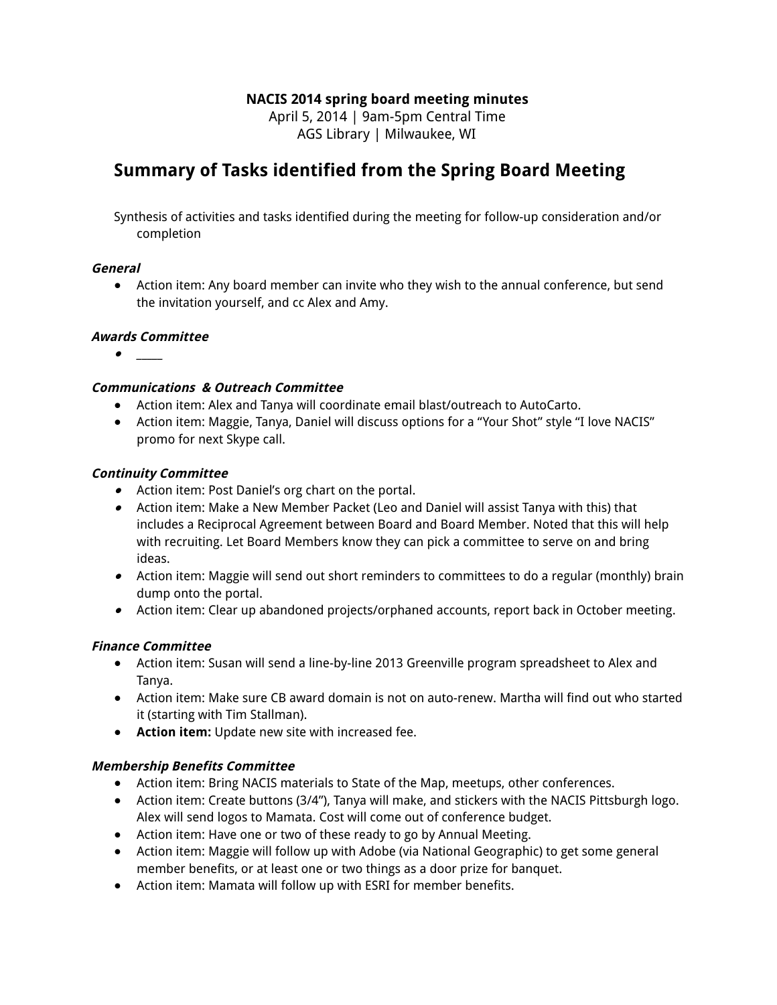### **NACIS 2014 spring board meeting minutes**

April 5, 2014 | 9am-5pm Central Time AGS Library | Milwaukee, WI

## **Summary of Tasks identified from the Spring Board Meeting**

Synthesis of activities and tasks identified during the meeting for follow-up consideration and/or completion

#### **General**

● Action item: Any board member can invite who they wish to the annual conference, but send the invitation yourself, and cc Alex and Amy.

#### **Awards Committee**

●

#### **Communications & Outreach Committee**

- Action item: Alex and Tanya will coordinate email blast/outreach to AutoCarto.
- Action item: Maggie, Tanya, Daniel will discuss options for a "Your Shot" style "I love NACIS" promo for next Skype call.

#### **Continuity Committee**

- Action item: Post Daniel's org chart on the portal.
- Action item: Make a New Member Packet (Leo and Daniel will assist Tanya with this) that includes a Reciprocal Agreement between Board and Board Member. Noted that this will help with recruiting. Let Board Members know they can pick a committee to serve on and bring ideas.
- Action item: Maggie will send out short reminders to committees to do a regular (monthly) brain dump onto the portal.
- Action item: Clear up abandoned projects/orphaned accounts, report back in October meeting.

#### **Finance Committee**

- Action item: Susan will send a line-by-line 2013 Greenville program spreadsheet to Alex and Tanya.
- Action item: Make sure CB award domain is not on auto-renew. Martha will find out who started it (starting with Tim Stallman).
- **Action item:** Update new site with increased fee.

#### **Membership Benefits Committee**

- Action item: Bring NACIS materials to State of the Map, meetups, other conferences.
- Action item: Create buttons (3/4"), Tanya will make, and stickers with the NACIS Pittsburgh logo. Alex will send logos to Mamata. Cost will come out of conference budget.
- Action item: Have one or two of these ready to go by Annual Meeting.
- Action item: Maggie will follow up with Adobe (via National Geographic) to get some general member benefits, or at least one or two things as a door prize for banquet.
- Action item: Mamata will follow up with ESRI for member benefits.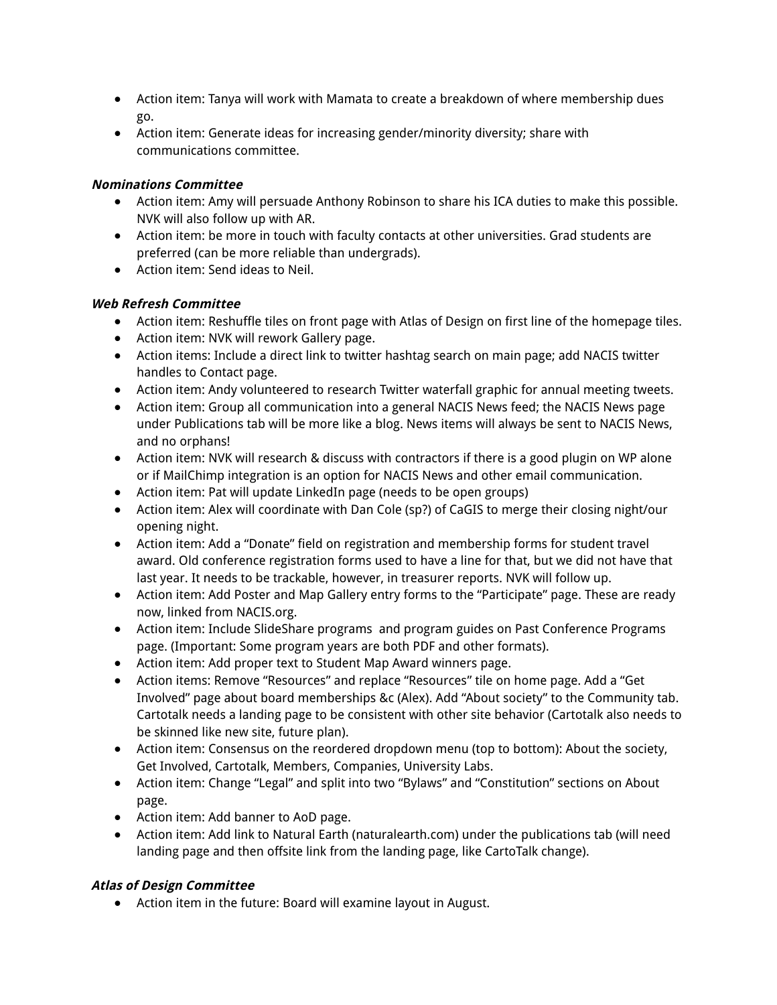- Action item: Tanya will work with Mamata to create a breakdown of where membership dues go.
- Action item: Generate ideas for increasing gender/minority diversity; share with communications committee.

#### **Nominations Committee**

- Action item: Amy will persuade Anthony Robinson to share his ICA duties to make this possible. NVK will also follow up with AR.
- Action item: be more in touch with faculty contacts at other universities. Grad students are preferred (can be more reliable than undergrads).
- Action item: Send ideas to Neil.

#### **Web Refresh Committee**

- **●** Action item: Reshuffle tiles on front page with Atlas of Design on first line of the homepage tiles.
- **●** Action item: NVK will rework Gallery page.
- **●** Action items: Include a direct link to twitter hashtag search on main page; add NACIS twitter handles to Contact page.
- **●** Action item: Andy volunteered to research Twitter waterfall graphic for annual meeting tweets.
- **●** Action item: Group all communication into a general NACIS News feed; the NACIS News page under Publications tab will be more like a blog. News items will always be sent to NACIS News, and no orphans!
- **●** Action item: NVK will research & discuss with contractors if there is a good plugin on WP alone or if MailChimp integration is an option for NACIS News and other email communication.
- **●** Action item: Pat will update LinkedIn page (needs to be open groups)
- **●** Action item: Alex will coordinate with Dan Cole (sp?) of CaGIS to merge their closing night/our opening night.
- **●** Action item: Add a "Donate" field on registration and membership forms for student travel award. Old conference registration forms used to have a line for that, but we did not have that last year. It needs to be trackable, however, in treasurer reports. NVK will follow up.
- **●** Action item: Add Poster and Map Gallery entry forms to the "Participate" page. These are ready now, linked from NACIS.org.
- **●** Action item: Include SlideShare programs and program guides on Past Conference Programs page. (Important: Some program years are both PDF and other formats).
- **●** Action item: Add proper text to Student Map Award winners page.
- **●** Action items: Remove "Resources" and replace "Resources" tile on home page. Add a "Get Involved" page about board memberships &c (Alex). Add "About society" to the Community tab. Cartotalk needs a landing page to be consistent with other site behavior (Cartotalk also needs to be skinned like new site, future plan).
- **●** Action item: Consensus on the reordered dropdown menu (top to bottom): About the society, Get Involved, Cartotalk, Members, Companies, University Labs.
- **●** Action item: Change "Legal" and split into two "Bylaws" and "Constitution" sections on About page.
- **●** Action item: Add banner to AoD page.
- **●** Action item: Add link to Natural Earth (naturalearth.com) under the publications tab (will need landing page and then offsite link from the landing page, like CartoTalk change).

### **Atlas of Design Committee**

● Action item in the future: Board will examine layout in August.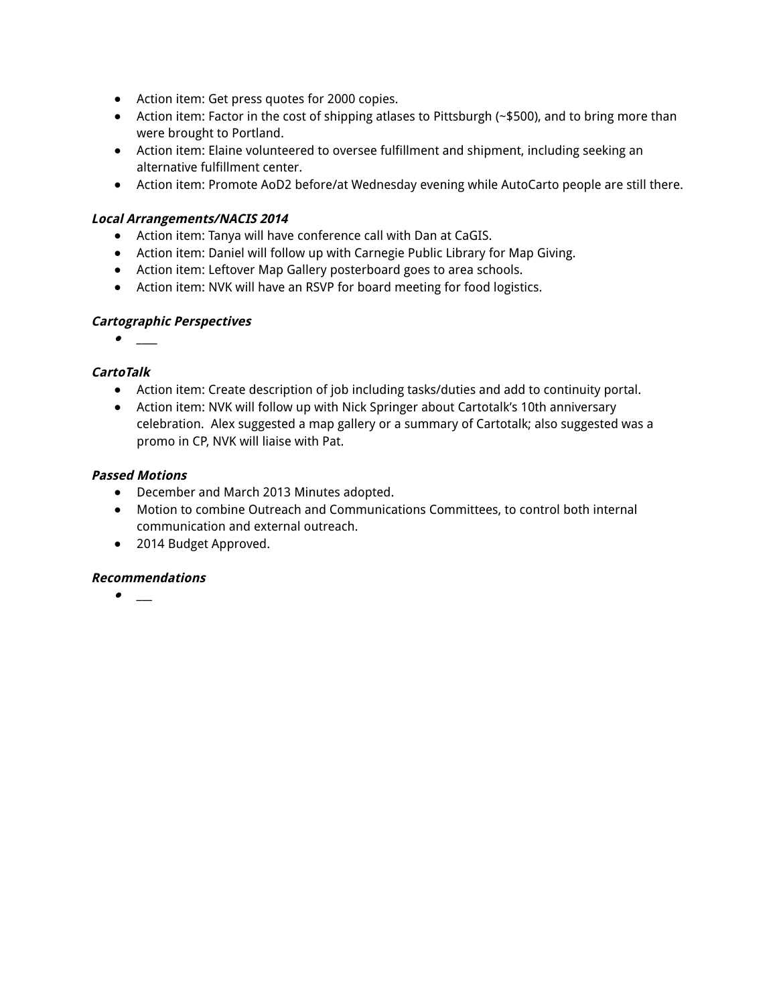- Action item: Get press quotes for 2000 copies.
- Action item: Factor in the cost of shipping atlases to Pittsburgh (~\$500), and to bring more than were brought to Portland.
- Action item: Elaine volunteered to oversee fulfillment and shipment, including seeking an alternative fulfillment center.
- Action item: Promote AoD2 before/at Wednesday evening while AutoCarto people are still there.

#### **Local Arrangements/NACIS 2014**

- Action item: Tanya will have conference call with Dan at CaGIS.
- Action item: Daniel will follow up with Carnegie Public Library for Map Giving.
- Action item: Leftover Map Gallery posterboard goes to area schools.
- Action item: NVK will have an RSVP for board meeting for food logistics.

#### **Cartographic Perspectives**

**●** \_\_\_\_

#### **CartoTalk**

- Action item: Create description of job including tasks/duties and add to continuity portal.
- Action item: NVK will follow up with Nick Springer about Cartotalk's 10th anniversary celebration. Alex suggested a map gallery or a summary of Cartotalk; also suggested was a promo in CP, NVK will liaise with Pat.

#### **Passed Motions**

- **●** December and March 2013 Minutes adopted.
- Motion to combine Outreach and Communications Committees, to control both internal communication and external outreach.
- 2014 Budget Approved.

#### **Recommendations**

**●** \_\_\_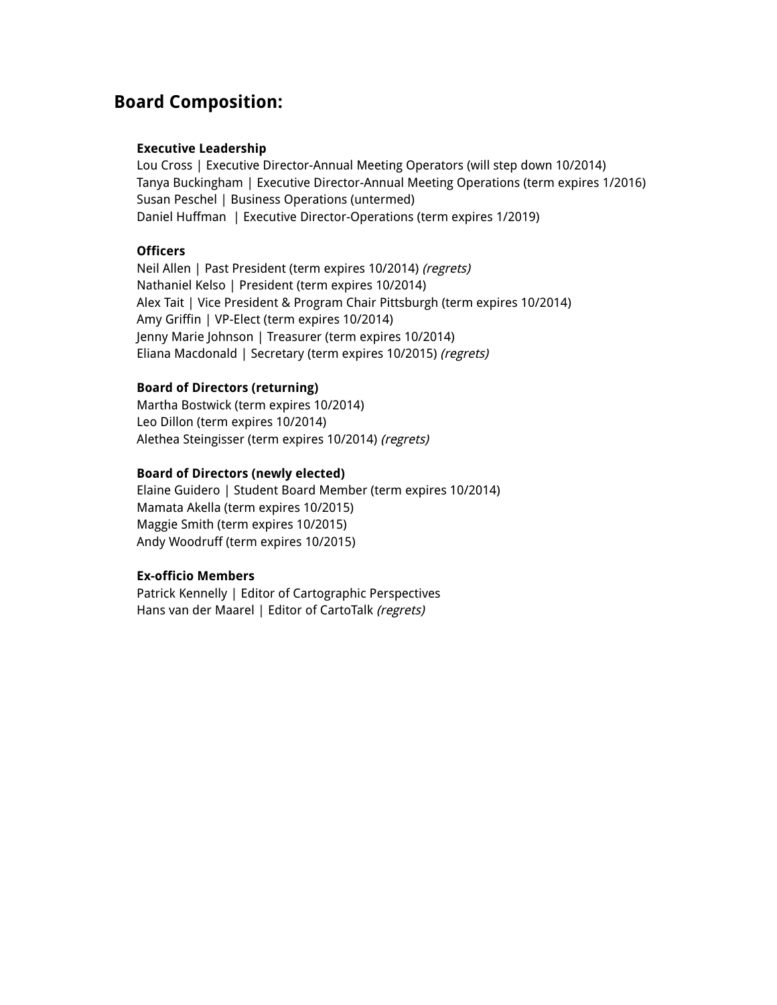### **Board Composition:**

#### **Executive Leadership**

Lou Cross | Executive Director-Annual Meeting Operators (will step down 10/2014) Tanya Buckingham | Executive Director-Annual Meeting Operations (term expires 1/2016) Susan Peschel | Business Operations (untermed) Daniel Huffman | Executive Director-Operations (term expires 1/2019)

#### **Officers**

Neil Allen | Past President (term expires 10/2014) (regrets) Nathaniel Kelso | President (term expires 10/2014) Alex Tait | Vice President & Program Chair Pittsburgh (term expires 10/2014) Amy Griffin | VP-Elect (term expires 10/2014) Jenny Marie Johnson | Treasurer (term expires 10/2014) Eliana Macdonald | Secretary (term expires 10/2015) (regrets)

#### **Board of Directors (returning)**

Martha Bostwick (term expires 10/2014) Leo Dillon (term expires 10/2014) Alethea Steingisser (term expires 10/2014) (regrets)

#### **Board of Directors (newly elected)**

Elaine Guidero | Student Board Member (term expires 10/2014) Mamata Akella (term expires 10/2015) Maggie Smith (term expires 10/2015) Andy Woodruff (term expires 10/2015)

#### **Ex-officio Members**

Patrick Kennelly | Editor of Cartographic Perspectives Hans van der Maarel | Editor of CartoTalk (regrets)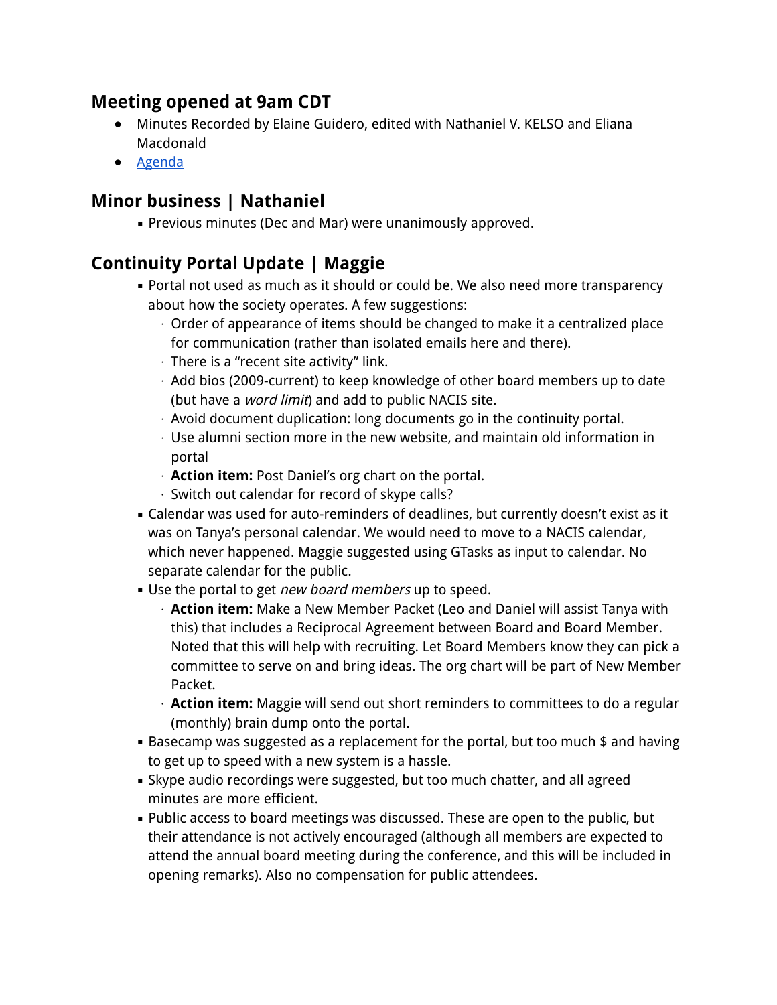## **Meeting opened at 9am CDT**

- Minutes Recorded by Elaine Guidero, edited with Nathaniel V. KELSO and Eliana Macdonald
- Agenda

# **Minor business | Nathaniel**

**• Previous minutes (Dec and Mar) were unanimously approved.** 

# **Continuity Portal Update | Maggie**

- **Portal not used as much as it should or could be. We also need more transparency** about how the society operates. A few suggestions:
	- ⋅ Order of appearance of items should be changed to make it a centralized place for communication (rather than isolated emails here and there).
	- ⋅ There is a "recent site activity" link.
	- ⋅ Add bios (2009-current) to keep knowledge of other board members up to date (but have a *word limit*) and add to public NACIS site.
	- ⋅ Avoid document duplication: long documents go in the continuity portal.
	- ⋅ Use alumni section more in the new website, and maintain old information in portal
	- ⋅ **Action item:** Post Daniel's org chart on the portal.
	- ⋅ Switch out calendar for record of skype calls?
- **EXEC** Calendar was used for auto-reminders of deadlines, but currently doesn't exist as it was on Tanya's personal calendar. We would need to move to a NACIS calendar, which never happened. Maggie suggested using GTasks as input to calendar. No separate calendar for the public.
- Use the portal to get *new board members* up to speed.
	- ⋅ **Action item:** Make a New Member Packet (Leo and Daniel will assist Tanya with this) that includes a Reciprocal Agreement between Board and Board Member. Noted that this will help with recruiting. Let Board Members know they can pick a committee to serve on and bring ideas. The org chart will be part of New Member Packet.
	- ⋅ **Action item:** Maggie will send out short reminders to committees to do a regular (monthly) brain dump onto the portal.
- Basecamp was suggested as a replacement for the portal, but too much \$ and having to get up to speed with a new system is a hassle.
- **.** Skype audio recordings were suggested, but too much chatter, and all agreed minutes are more efficient.
- Public access to board meetings was discussed. These are open to the public, but their attendance is not actively encouraged (although all members are expected to attend the annual board meeting during the conference, and this will be included in opening remarks). Also no compensation for public attendees.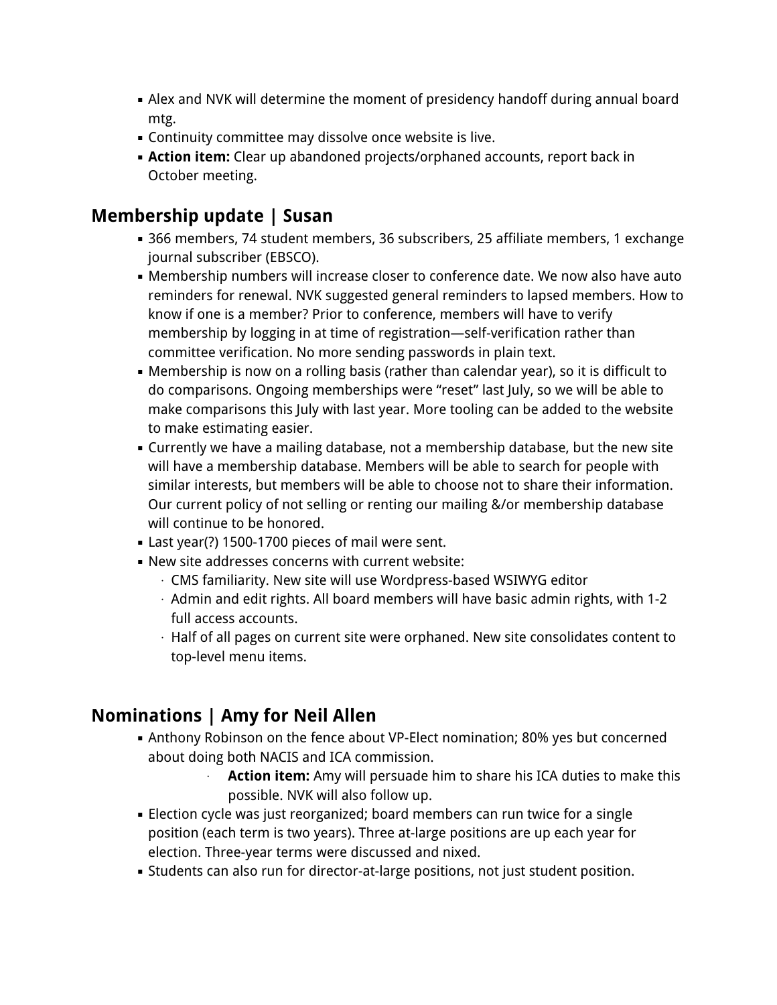- Alex and NVK will determine the moment of presidency handoff during annual board mtg.
- **EXECO COMMOVED COMMOVER CONTER** Continuity committee may dissolve once website is live.
- **Example 2** Action item: Clear up abandoned projects/orphaned accounts, report back in October meeting.

## **Membership update | Susan**

- 366 members, 74 student members, 36 subscribers, 25 affiliate members, 1 exchange journal subscriber (EBSCO).
- **.** Membership numbers will increase closer to conference date. We now also have auto reminders for renewal. NVK suggested general reminders to lapsed members. How to know if one is a member? Prior to conference, members will have to verify membership by logging in at time of registration—self-verification rather than committee verification. No more sending passwords in plain text.
- **Membership is now on a rolling basis (rather than calendar year), so it is difficult to** do comparisons. Ongoing memberships were "reset" last July, so we will be able to make comparisons this July with last year. More tooling can be added to the website to make estimating easier.
- **EX Currently we have a mailing database, not a membership database, but the new site** will have a membership database. Members will be able to search for people with similar interests, but members will be able to choose not to share their information. Our current policy of not selling or renting our mailing &/or membership database will continue to be honored.
- **EXEC** Last year(?) 1500-1700 pieces of mail were sent.
- New site addresses concerns with current website:
	- ⋅ CMS familiarity. New site will use Wordpress-based WSIWYG editor
	- ⋅ Admin and edit rights. All board members will have basic admin rights, with 1-2 full access accounts.
	- ⋅ Half of all pages on current site were orphaned. New site consolidates content to top-level menu items.

# **Nominations | Amy for Neil Allen**

- Anthony Robinson on the fence about VP-Elect nomination; 80% yes but concerned about doing both NACIS and ICA commission.
	- **Action item:** Amy will persuade him to share his ICA duties to make this possible. NVK will also follow up.
- **Election cycle was just reorganized; board members can run twice for a single** position (each term is two years). Three at-large positions are up each year for election. Three-year terms were discussed and nixed.
- **EXTEDENTS CAN ALSO FULL STATE CONTEX LATE CONTEX IS CONTEX FOR THE STATE FIGURE.** Student position.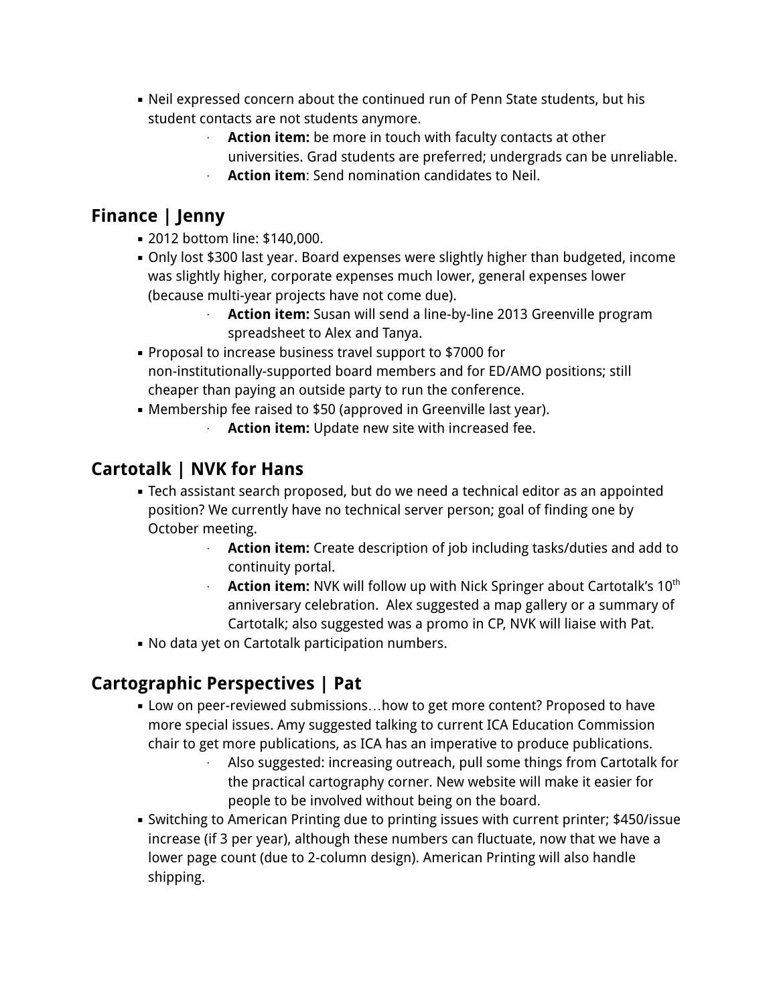- Neil expressed concern about the continued run of Penn State students, but his student contacts are not students anymore.
	- ⋅ **Action item:** be more in touch with faculty contacts at other
		- universities. Grad students are preferred; undergrads can be unreliable.
	- ⋅ **Action item**: Send nomination candidates to Neil.

# **Finance | Jenny**

- 2012 bottom line: \$140,000.
- Only lost \$300 last year. Board expenses were slightly higher than budgeted, income was slightly higher, corporate expenses much lower, general expenses lower (because multi-year projects have not come due).
	- ⋅ **Action item:** Susan will send a line-by-line 2013 Greenville program spreadsheet to Alex and Tanya.
- **Proposal to increase business travel support to \$7000 for** non-institutionally-supported board members and for ED/AMO positions; still cheaper than paying an outside party to run the conference.
- **EXE** Membership fee raised to \$50 (approved in Greenville last year).
	- **Action item:** Update new site with increased fee.

# **Cartotalk | NVK for Hans**

- **EXEL Assistant search proposed, but do we need a technical editor as an appointed** position? We currently have no technical server person; goal of finding one by October meeting.
	- **Action item:** Create description of job including tasks/duties and add to continuity portal.
	- ⋅ **Action item:** NVK will follow up with Nick Springer about Cartotalk's 10th anniversary celebration. Alex suggested a map gallery or a summary of Cartotalk; also suggested was a promo in CP, NVK will liaise with Pat.
- **.** No data yet on Cartotalk participation numbers.

# **Cartographic Perspectives | Pat**

- **.** Low on peer-reviewed submissions...how to get more content? Proposed to have more special issues. Amy suggested talking to current ICA Education Commission chair to get more publications, as ICA has an imperative to produce publications.
	- Also suggested: increasing outreach, pull some things from Cartotalk for the practical cartography corner. New website will make it easier for people to be involved without being on the board.
- Switching to American Printing due to printing issues with current printer; \$450/issue increase (if 3 per year), although these numbers can fluctuate, now that we have a lower page count (due to 2-column design). American Printing will also handle shipping.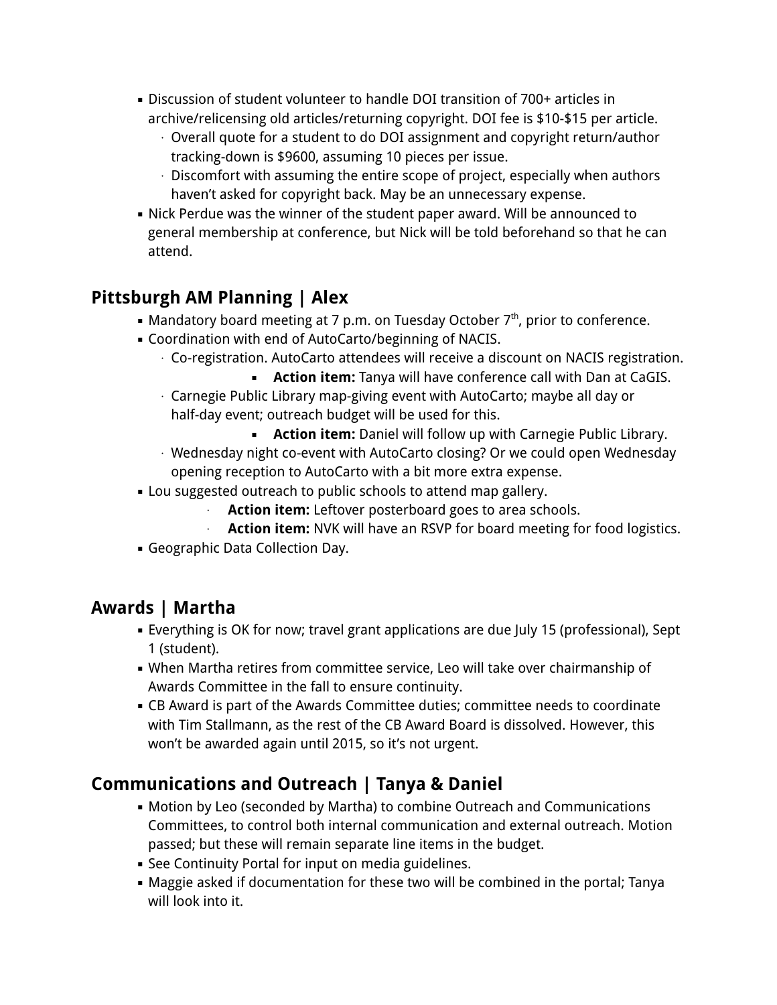- Discussion of student volunteer to handle DOI transition of 700+ articles in archive/relicensing old articles/returning copyright. DOI fee is \$10-\$15 per article.
	- ⋅ Overall quote for a student to do DOI assignment and copyright return/author tracking-down is \$9600, assuming 10 pieces per issue.
	- ⋅ Discomfort with assuming the entire scope of project, especially when authors haven't asked for copyright back. May be an unnecessary expense.
- Nick Perdue was the winner of the student paper award. Will be announced to general membership at conference, but Nick will be told beforehand so that he can attend.

# **Pittsburgh AM Planning | Alex**

- Mandatory board meeting at 7 p.m. on Tuesday October  $7<sup>th</sup>$ , prior to conference.
- Coordination with end of AutoCarto/beginning of NACIS.
	- ⋅ Co-registration. AutoCarto attendees will receive a discount on NACIS registration.
	- **EXECTIONA IT Action item:** Tanya will have conference call with Dan at CaGIS. ⋅ Carnegie Public Library map-giving event with AutoCarto; maybe all day or
		- half-day event; outreach budget will be used for this.
			- **EXECT** Action item: Daniel will follow up with Carnegie Public Library.
	- ⋅ Wednesday night co-event with AutoCarto closing? Or we could open Wednesday opening reception to AutoCarto with a bit more extra expense.
- **EXECT** Lou suggested outreach to public schools to attend map gallery.
	- **Action item:** Leftover posterboard goes to area schools.
	- **Action item:** NVK will have an RSVP for board meeting for food logistics.
- **Geographic Data Collection Day.**

## **Awards | Martha**

- Everything is OK for now; travel grant applications are due July 15 (professional), Sept 1 (student).
- . When Martha retires from committee service, Leo will take over chairmanship of Awards Committee in the fall to ensure continuity.
- **EX Award is part of the Awards Committee duties; committee needs to coordinate** with Tim Stallmann, as the rest of the CB Award Board is dissolved. However, this won't be awarded again until 2015, so it's not urgent.

# **Communications and Outreach | Tanya & Daniel**

- **Motion by Leo (seconded by Martha) to combine Outreach and Communications** Committees, to control both internal communication and external outreach. Motion passed; but these will remain separate line items in the budget.
- **EXECONTIGLEY SETAL SET ASSET IS A SET ASSET IS SET ASSET** See Continuity Portal for modia guidelines.
- Maggie asked if documentation for these two will be combined in the portal; Tanya will look into it.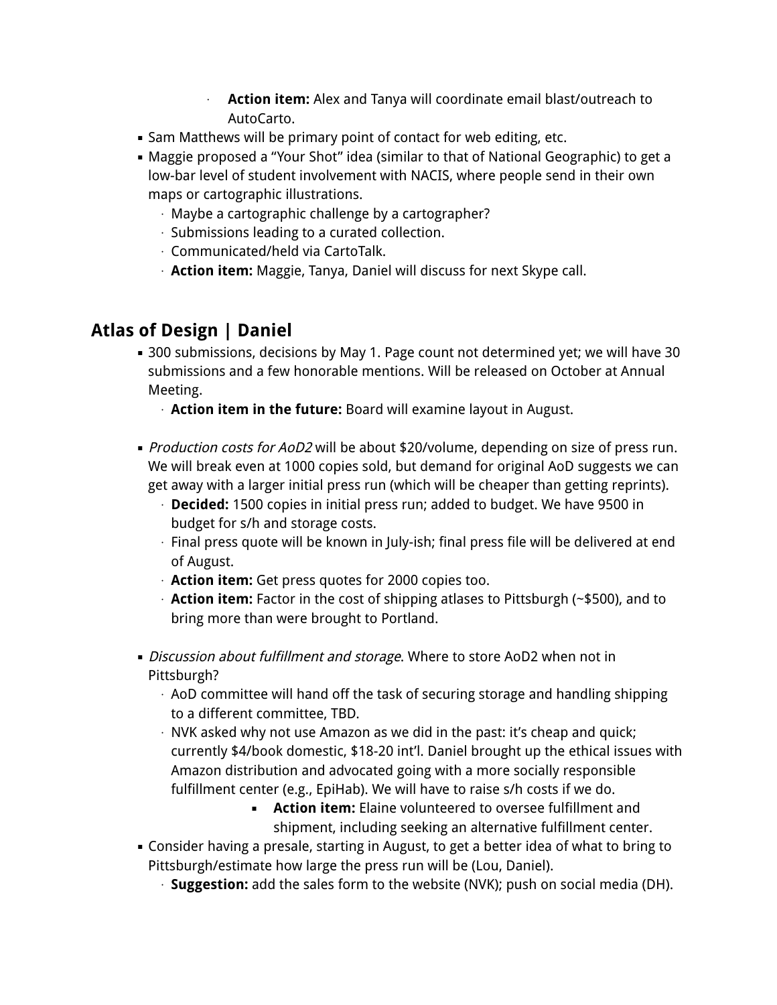- **Action item:** Alex and Tanya will coordinate email blast/outreach to AutoCarto.
- **.** Sam Matthews will be primary point of contact for web editing, etc.
- Maggie proposed a "Your Shot" idea (similar to that of National Geographic) to get a low-bar level of student involvement with NACIS, where people send in their own maps or cartographic illustrations.
	- ⋅ Maybe a cartographic challenge by a cartographer?
	- ⋅ Submissions leading to a curated collection.
	- ⋅ Communicated/held via CartoTalk.
	- ⋅ **Action item:** Maggie, Tanya, Daniel will discuss for next Skype call.

## **Atlas of Design | Daniel**

- 300 submissions, decisions by May 1. Page count not determined yet; we will have 30 submissions and a few honorable mentions. Will be released on October at Annual Meeting.
	- ⋅ **Action item in the future:** Board will examine layout in August.
- *Production costs for AoD2* will be about \$20/volume, depending on size of press run. We will break even at 1000 copies sold, but demand for original AoD suggests we can get away with a larger initial press run (which will be cheaper than getting reprints).
	- ⋅ **Decided:** 1500 copies in initial press run; added to budget. We have 9500 in budget for s/h and storage costs.
	- ⋅ Final press quote will be known in July-ish; final press file will be delivered at end of August.
	- ⋅ **Action item:** Get press quotes for 2000 copies too.
	- ⋅ **Action item:** Factor in the cost of shipping atlases to Pittsburgh (~\$500), and to bring more than were brought to Portland.
- **Discussion about fulfillment and storage. Where to store AoD2 when not in** Pittsburgh?
	- $\cdot$  AoD committee will hand off the task of securing storage and handling shipping to a different committee, TBD.
	- ⋅ NVK asked why not use Amazon as we did in the past: it's cheap and quick; currently \$4/book domestic, \$18-20 int'l. Daniel brought up the ethical issues with Amazon distribution and advocated going with a more socially responsible fulfillment center (e.g., EpiHab). We will have to raise s/h costs if we do.
		- **EXECT** Action item: Elaine volunteered to oversee fulfillment and shipment, including seeking an alternative fulfillment center.
- Consider having a presale, starting in August, to get a better idea of what to bring to Pittsburgh/estimate how large the press run will be (Lou, Daniel).
	- ⋅ **Suggestion:** add the sales form to the website (NVK); push on social media (DH).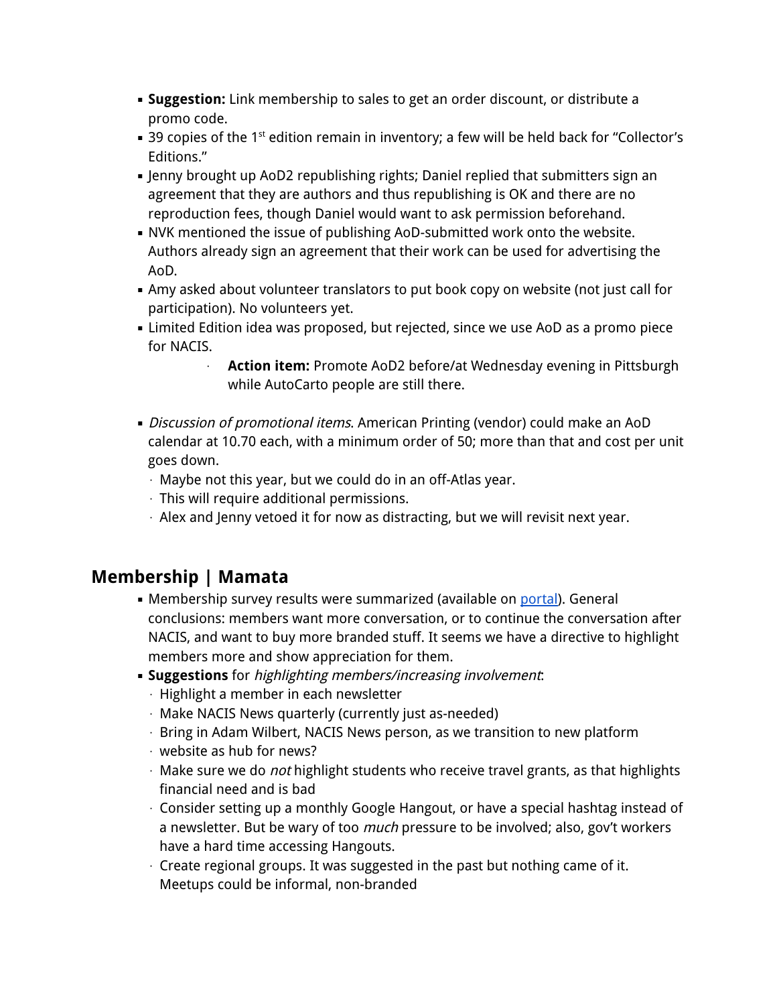- **Suggestion:** Link membership to sales to get an order discount, or distribute a promo code.
- $\bullet$  39 copies of the 1<sup>st</sup> edition remain in inventory; a few will be held back for "Collector's Editions."
- **.** Jenny brought up AoD2 republishing rights; Daniel replied that submitters sign an agreement that they are authors and thus republishing is OK and there are no reproduction fees, though Daniel would want to ask permission beforehand.
- **.** NVK mentioned the issue of publishing AoD-submitted work onto the website. Authors already sign an agreement that their work can be used for advertising the AoD.
- **.** Amy asked about volunteer translators to put book copy on website (not just call for participation). No volunteers yet.
- **EXTED FEDITION IDEA** was proposed, but rejected, since we use AoD as a promo piece for NACIS.
	- **Action item:** Promote AoD2 before/at Wednesday evening in Pittsburgh while AutoCarto people are still there.
- **.** Discussion of promotional items. American Printing (vendor) could make an AoD calendar at 10.70 each, with a minimum order of 50; more than that and cost per unit goes down.
	- ⋅ Maybe not this year, but we could do in an off-Atlas year.
	- ⋅ This will require additional permissions.
	- $\cdot$  Alex and Jenny vetoed it for now as distracting, but we will revisit next year.

## **Membership | Mamata**

- Membership survey results were summarized (available on portal). General conclusions: members want more conversation, or to continue the conversation after NACIS, and want to buy more branded stuff. It seems we have a directive to highlight members more and show appreciation for them.
- **Example 5 Inspections** for highlighting members/increasing involvement:
	- ⋅ Highlight a member in each newsletter
	- ⋅ Make NACIS News quarterly (currently just as-needed)
	- ⋅ Bring in Adam Wilbert, NACIS News person, as we transition to new platform
	- ⋅ website as hub for news?
	- ⋅ Make sure we do *not* highlight students who receive travel grants, as that highlights financial need and is bad
	- ⋅ Consider setting up a monthly Google Hangout, or have a special hashtag instead of a newsletter. But be wary of too *much* pressure to be involved; also, gov't workers have a hard time accessing Hangouts.
	- ⋅ Create regional groups. It was suggested in the past but nothing came of it. Meetups could be informal, non-branded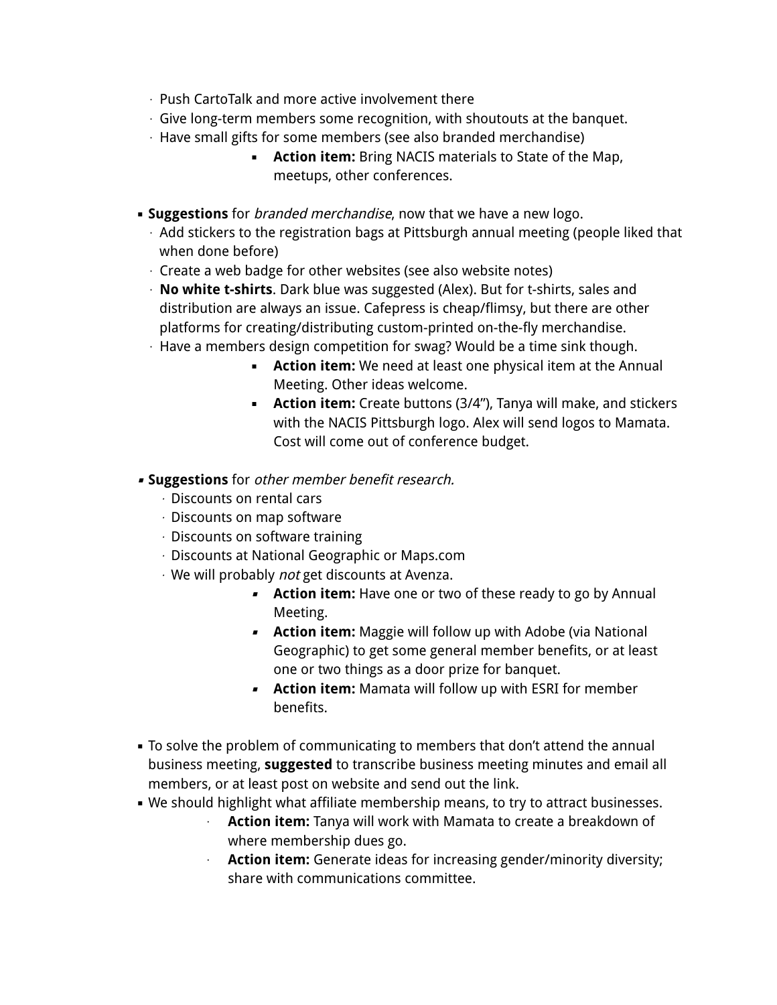- ⋅ Push CartoTalk and more active involvement there
- ⋅ Give long-term members some recognition, with shoutouts at the banquet.
- ⋅ Have small gifts for some members (see also branded merchandise)
	- **Action item:** Bring NACIS materials to State of the Map, meetups, other conferences.
- **Example Suggestions** for *branded merchandise*, now that we have a new logo.
	- ⋅ Add stickers to the registration bags at Pittsburgh annual meeting (people liked that when done before)
	- ⋅ Create a web badge for other websites (see also website notes)
	- ⋅ **No white t-shirts**. Dark blue was suggested (Alex). But for t-shirts, sales and distribution are always an issue. Cafepress is cheap/flimsy, but there are other platforms for creating/distributing custom-printed on-the-fly merchandise.
	- ⋅ Have a members design competition for swag? Would be a time sink though.
		- **EXTER:** We need at least one physical item at the Annual Meeting. Other ideas welcome.
		- **Action item:** Create buttons (3/4"), Tanya will make, and stickers with the NACIS Pittsburgh logo. Alex will send logos to Mamata. Cost will come out of conference budget.
- **Suggestions** for other member benefit research.
	- ⋅ Discounts on rental cars
	- $\cdot$  Discounts on map software
	- ⋅ Discounts on software training
	- ⋅ Discounts at National Geographic or Maps.com
	- ⋅ We will probably not get discounts at Avenza.
		- **EXTER** Action item: Have one or two of these ready to go by Annual Meeting.
		- **Action item:** Maggie will follow up with Adobe (via National Geographic) to get some general member benefits, or at least one or two things as a door prize for banquet.
		- **Action item:** Mamata will follow up with ESRI for member benefits.
- To solve the problem of communicating to members that don't attend the annual business meeting, **suggested** to transcribe business meeting minutes and email all members, or at least post on website and send out the link.
- **We should highlight what affiliate membership means, to try to attract businesses.** 
	- **Action item:** Tanya will work with Mamata to create a breakdown of where membership dues go.
	- ⋅ **Action item:** Generate ideas for increasing gender/minority diversity; share with communications committee.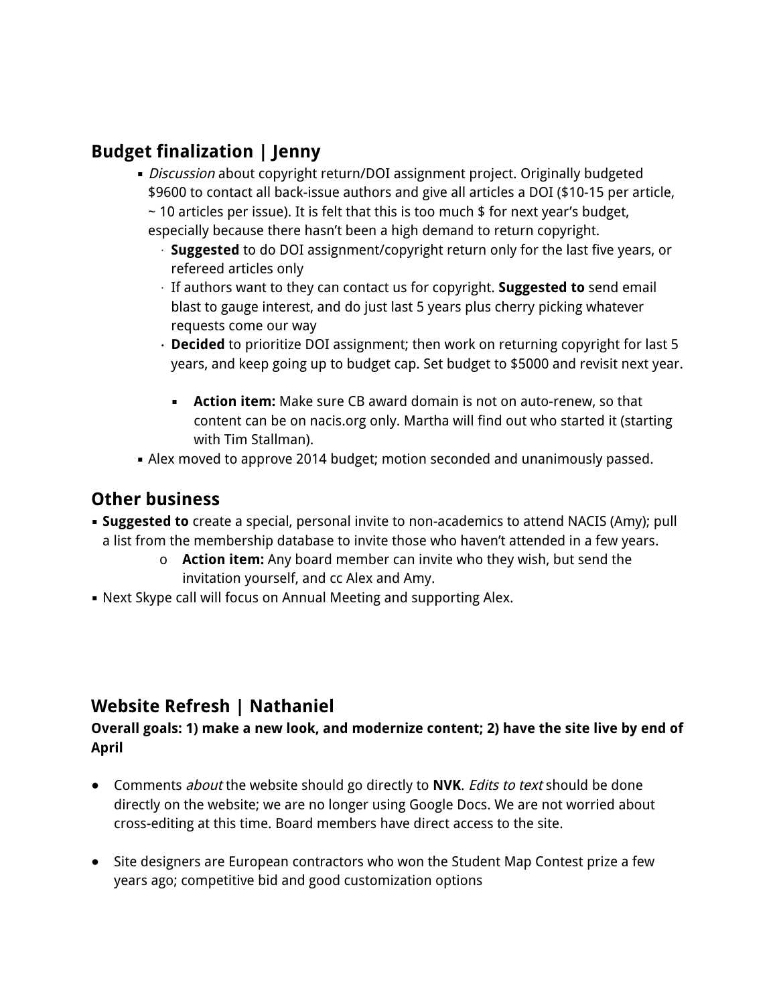## **Budget finalization | Jenny**

· Discussion about copyright return/DOI assignment project. Originally budgeted \$9600 to contact all back-issue authors and give all articles a DOI (\$10-15 per article,

 $\sim$  10 articles per issue). It is felt that this is too much \$ for next year's budget, especially because there hasn't been a high demand to return copyright.

- ⋅ **Suggested** to do DOI assignment/copyright return only for the last five years, or refereed articles only
- ⋅ If authors want to they can contact us for copyright. **Suggested to** send email blast to gauge interest, and do just last 5 years plus cherry picking whatever requests come our way
- ⋅ **Decided** to prioritize DOI assignment; then work on returning copyright for last 5 years, and keep going up to budget cap. Set budget to \$5000 and revisit next year.
	- **Action item:** Make sure CB award domain is not on auto-renew, so that content can be on nacis.org only. Martha will find out who started it (starting with Tim Stallman).
- **.** Alex moved to approve 2014 budget; motion seconded and unanimously passed.

### **Other business**

- **Suggested to** create a special, personal invite to non-academics to attend NACIS (Amy); pull a list from the membership database to invite those who haven't attended in a few years.
	- o **Action item:** Any board member can invite who they wish, but send the invitation yourself, and cc Alex and Amy.
- **.** Next Skype call will focus on Annual Meeting and supporting Alex.

# **Website Refresh | Nathaniel**

### **Overall goals: 1) make a new look, and modernize content; 2) have the site live by end of April**

- Comments about the website should go directly to **NVK**. Edits to text should be done directly on the website; we are no longer using Google Docs. We are not worried about cross-editing at this time. Board members have direct access to the site.
- Site designers are European contractors who won the Student Map Contest prize a few years ago; competitive bid and good customization options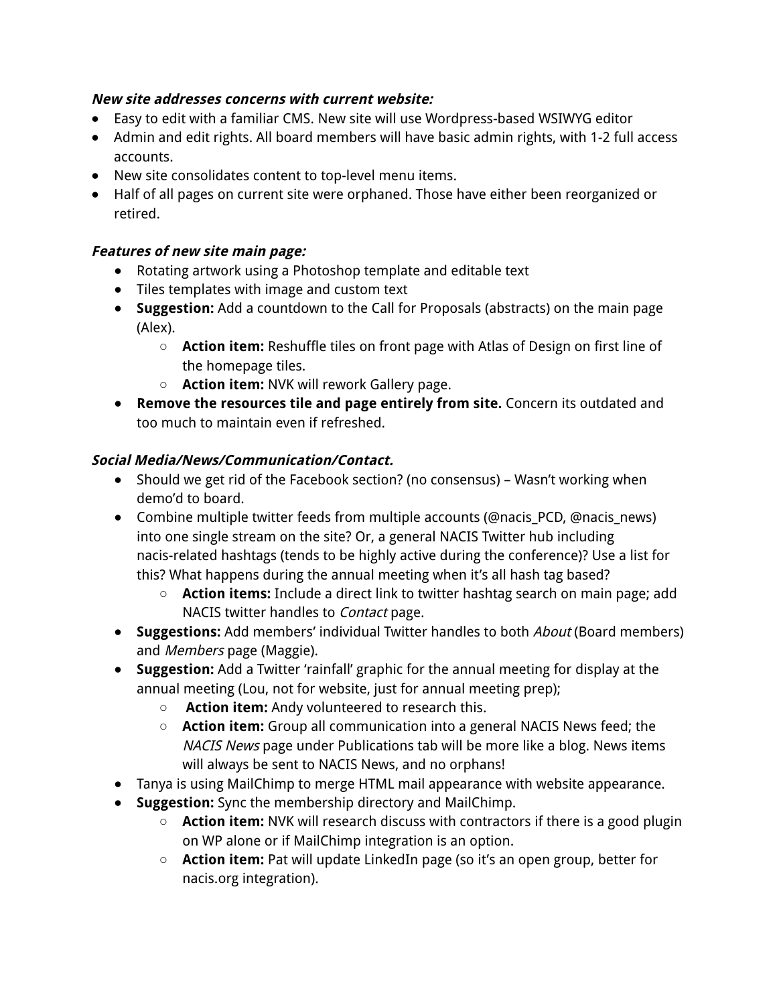### **New site addresses concerns with current website:**

- Easy to edit with a familiar CMS. New site will use Wordpress-based WSIWYG editor
- Admin and edit rights. All board members will have basic admin rights, with 1-2 full access accounts.
- New site consolidates content to top-level menu items.
- Half of all pages on current site were orphaned. Those have either been reorganized or retired.

### **Features of new site main page:**

- Rotating artwork using a Photoshop template and editable text
- Tiles templates with image and custom text
- **Suggestion:** Add a countdown to the Call for Proposals (abstracts) on the main page (Alex).
	- **Action item:** Reshuffle tiles on front page with Atlas of Design on first line of the homepage tiles.
	- **Action item:** NVK will rework Gallery page.
- **Remove the resources tile and page entirely from site.** Concern its outdated and too much to maintain even if refreshed.

### **Social Media/News/Communication/Contact.**

- Should we get rid of the Facebook section? (no consensus) Wasn't working when demo'd to board.
- Combine multiple twitter feeds from multiple accounts (@nacis PCD, @nacis\_news) into one single stream on the site? Or, a general NACIS Twitter hub including nacis-related hashtags (tends to be highly active during the conference)? Use a list for this? What happens during the annual meeting when it's all hash tag based?
	- **Action items:** Include a direct link to twitter hashtag search on main page; add NACIS twitter handles to Contact page.
- **Suggestions:** Add members' individual Twitter handles to both About (Board members) and Members page (Maggie).
- **Suggestion:** Add a Twitter 'rainfall' graphic for the annual meeting for display at the annual meeting (Lou, not for website, just for annual meeting prep);
	- **Action item:** Andy volunteered to research this.
	- **Action item:** Group all communication into a general NACIS News feed; the NACIS News page under Publications tab will be more like a blog. News items will always be sent to NACIS News, and no orphans!
- Tanya is using MailChimp to merge HTML mail appearance with website appearance.
- **Suggestion:** Sync the membership directory and MailChimp.
	- **Action item:** NVK will research discuss with contractors if there is a good plugin on WP alone or if MailChimp integration is an option.
	- **Action item:** Pat will update LinkedIn page (so it's an open group, better for nacis.org integration).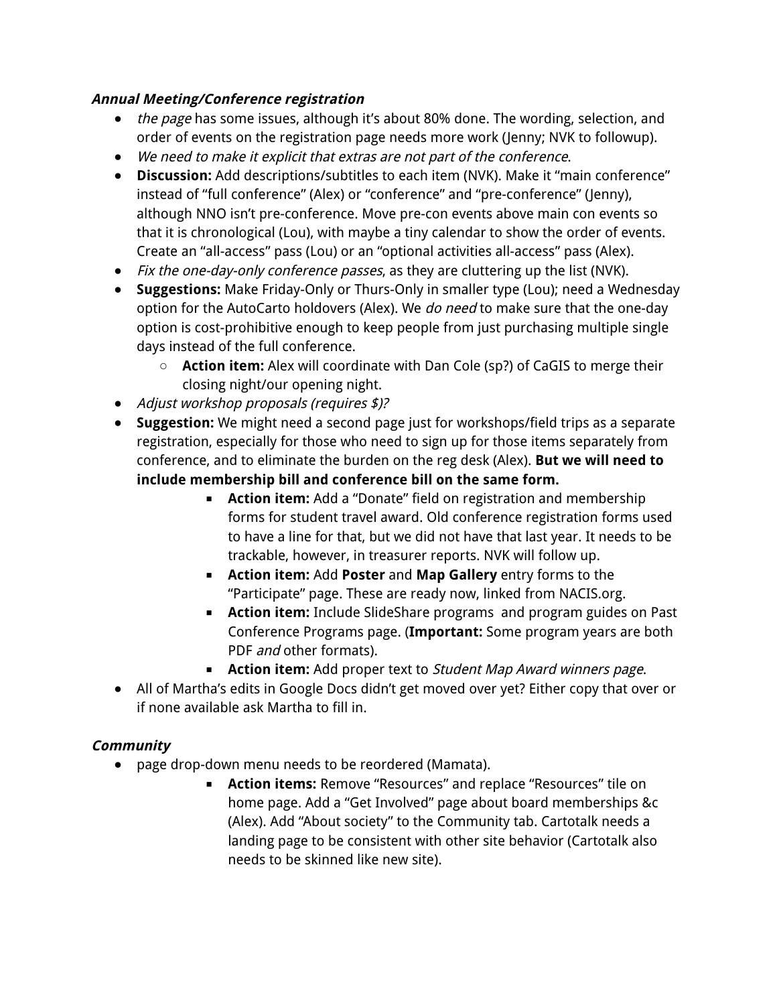### **Annual Meeting/Conference registration**

- the page has some issues, although it's about 80% done. The wording, selection, and order of events on the registration page needs more work (Jenny; NVK to followup).
- We need to make it explicit that extras are not part of the conference.
- **Discussion:** Add descriptions/subtitles to each item (NVK). Make it "main conference" instead of "full conference" (Alex) or "conference" and "pre-conference" (Jenny), although NNO isn't pre-conference. Move pre-con events above main con events so that it is chronological (Lou), with maybe a tiny calendar to show the order of events. Create an "all-access" pass (Lou) or an "optional activities all-access" pass (Alex).
- Fix the one-day-only conference passes, as they are cluttering up the list (NVK).
- **Suggestions:** Make Friday-Only or Thurs-Only in smaller type (Lou); need a Wednesday option for the AutoCarto holdovers (Alex). We do need to make sure that the one-day option is cost-prohibitive enough to keep people from just purchasing multiple single days instead of the full conference.
	- **Action item:** Alex will coordinate with Dan Cole (sp?) of CaGIS to merge their closing night/our opening night.
- Adjust workshop proposals (requires \$)?
- **Suggestion:** We might need a second page just for workshops/field trips as a separate registration, especially for those who need to sign up for those items separately from conference, and to eliminate the burden on the reg desk (Alex). **But we will need to include membership bill and conference bill on the same form.**
	- **Action item:** Add a "Donate" field on registration and membership forms for student travel award. Old conference registration forms used to have a line for that, but we did not have that last year. It needs to be trackable, however, in treasurer reports. NVK will follow up.
	- **Action item:** Add **Poster** and **Map Gallery** entry forms to the "Participate" page. These are ready now, linked from NACIS.org.
	- **Action item:** Include SlideShare programs and program guides on Past Conference Programs page. (**Important:** Some program years are both PDF and other formats).
	- **Action item:** Add proper text to Student Map Award winners page.
- All of Martha's edits in Google Docs didn't get moved over yet? Either copy that over or if none available ask Martha to fill in.

### **Community**

- page drop-down menu needs to be reordered (Mamata).
	- **Action items:** Remove "Resources" and replace "Resources" tile on home page. Add a "Get Involved" page about board memberships &c (Alex). Add "About society" to the Community tab. Cartotalk needs a landing page to be consistent with other site behavior (Cartotalk also needs to be skinned like new site).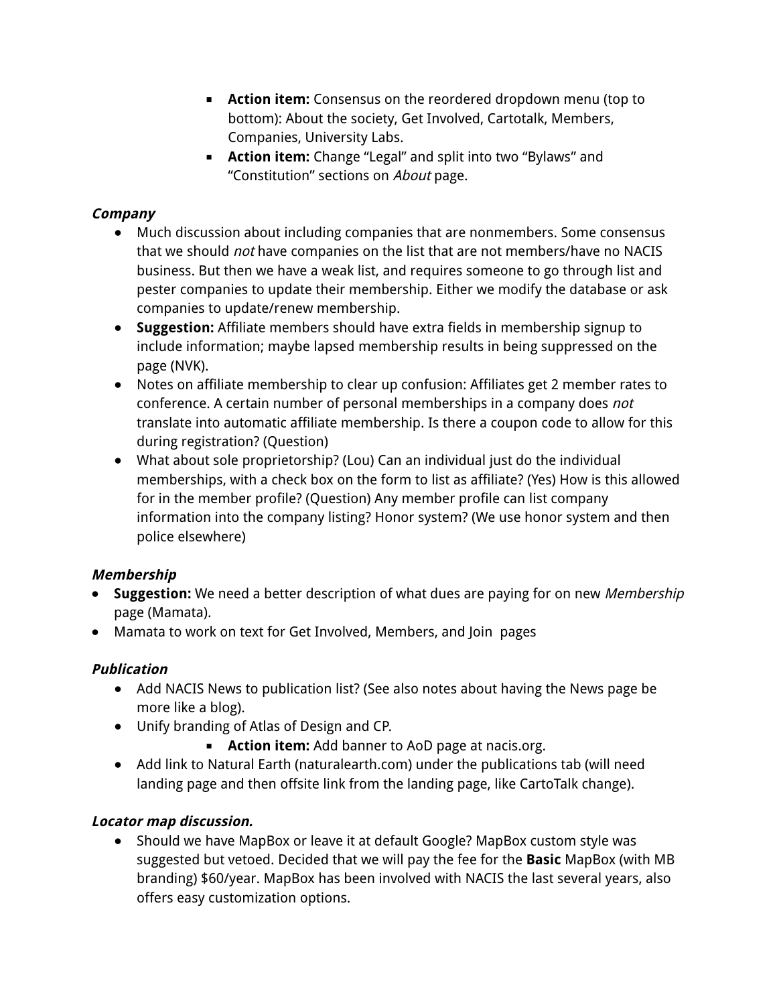- **Action item:** Consensus on the reordered dropdown menu (top to bottom): About the society, Get Involved, Cartotalk, Members, Companies, University Labs.
- **Action item:** Change "Legal" and split into two "Bylaws" and "Constitution" sections on About page.

### **Company**

- Much discussion about including companies that are nonmembers. Some consensus that we should *not* have companies on the list that are not members/have no NACIS business. But then we have a weak list, and requires someone to go through list and pester companies to update their membership. Either we modify the database or ask companies to update/renew membership.
- **Suggestion:** Affiliate members should have extra fields in membership signup to include information; maybe lapsed membership results in being suppressed on the page (NVK).
- Notes on affiliate membership to clear up confusion: Affiliates get 2 member rates to conference. A certain number of personal memberships in a company does not translate into automatic affiliate membership. Is there a coupon code to allow for this during registration? (Question)
- What about sole proprietorship? (Lou) Can an individual just do the individual memberships, with a check box on the form to list as affiliate? (Yes) How is this allowed for in the member profile? (Question) Any member profile can list company information into the company listing? Honor system? (We use honor system and then police elsewhere)

### **Membership**

- **Suggestion:** We need a better description of what dues are paying for on new Membership page (Mamata).
- Mamata to work on text for Get Involved, Members, and Join pages

### **Publication**

- Add NACIS News to publication list? (See also notes about having the News page be more like a blog).
- Unify branding of Atlas of Design and CP.
	- **Action item:** Add banner to AoD page at nacis.org.
- Add link to Natural Earth (naturalearth.com) under the publications tab (will need landing page and then offsite link from the landing page, like CartoTalk change).

### **Locator map discussion.**

● Should we have MapBox or leave it at default Google? MapBox custom style was suggested but vetoed. Decided that we will pay the fee for the **Basic** MapBox (with MB branding) \$60/year. MapBox has been involved with NACIS the last several years, also offers easy customization options.